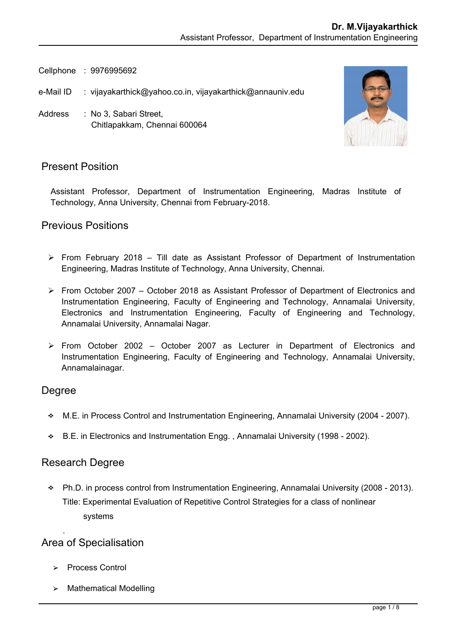Cellphone : 9976995692

- e-Mail ID : [vijayakarthick@yahoo.co.in,](mailto:kamalanand@mitindia.edu) vijayakarthick@annauniv.edu
- Address : No 3, Sabari Street, Chitlapakkam, Chennai 600064



## Present Position

Assistant Professor, Department of Instrumentation Engineering, Madras Institute of Technology, Anna University, Chennai from February-2018.

#### Previous Positions

- $\triangleright$  From February 2018 Till date as Assistant Professor of Department of Instrumentation Engineering, Madras Institute of Technology, Anna University, Chennai.
- From October 2007 October 2018 as Assistant Professor of Department of Electronics and Instrumentation Engineering, Faculty of Engineering and Technology, Annamalai University, Electronics and Instrumentation Engineering, Faculty of Engineering and Technology, Annamalai University, Annamalai Nagar.
- $\triangleright$  From October 2002 October 2007 as Lecturer in Department of Electronics and Instrumentation Engineering, Faculty of Engineering and Technology, Annamalai University, Annamalainagar.

#### Degree

- M.E. in Process Control and Instrumentation Engineering, Annamalai University (2004 2007).
- B.E. in Electronics and Instrumentation Engg. , Annamalai University (1998 2002).

#### Research Degree

Ph.D. in process control from Instrumentation Engineering, Annamalai University (2008 - 2013). Title: Experimental Evaluation of Repetitive Control Strategies for a class of nonlinear systems

## Area of Specialisation

.

- Process Control
- $\triangleright$  Mathematical Modelling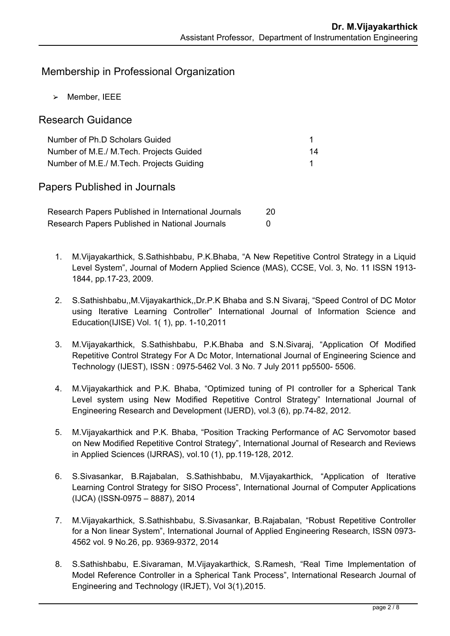## Membership in Professional Organization

 $>$  Member, IEEE

#### Research Guidance

| Number of Ph.D Scholars Guided           |    |
|------------------------------------------|----|
| Number of M.E./ M.Tech. Projects Guided  | 14 |
| Number of M.E./ M.Tech. Projects Guiding |    |

Papers Published in Journals

Research Papers Published in International Journals 20 Research Papers Published in National Journals **COV** 

- 1. M.Vijayakarthick, S.Sathishbabu, P.K.Bhaba, "A New Repetitive Control Strategy in a Liquid Level System", Journal of Modern Applied Science (MAS), CCSE, Vol. 3, No. 11 ISSN 1913- 1844, pp.17-23, 2009.
- 2. S.Sathishbabu,,M.Vijayakarthick,,Dr.P.K Bhaba and S.N Sivaraj, "Speed Control of DC Motor using Iterative Learning Controller" International Journal of Information Science and Education(IJISE) Vol. 1( 1), pp. 1-10,2011
- 3. M.Vijayakarthick, S.Sathishbabu, P.K.Bhaba and S.N.Sivaraj, "Application Of Modified Repetitive Control Strategy For A Dc Motor, International Journal of Engineering Science and Technology (IJEST), ISSN : 0975-5462 Vol. 3 No. 7 July 2011 pp5500- 5506.
- 4. M.Vijayakarthick and P.K. Bhaba, "Optimized tuning of PI controller for a Spherical Tank Level system using New Modified Repetitive Control Strategy" International Journal of Engineering Research and Development (IJERD), vol.3 (6), pp.74-82, 2012.
- 5. M.Vijayakarthick and P.K. Bhaba, "Position Tracking Performance of AC Servomotor based on New Modified Repetitive Control Strategy", International Journal of Research and Reviews in Applied Sciences (IJRRAS), vol.10 (1), pp.119-128, 2012.
- 6. S.Sivasankar, B.Rajabalan, S.Sathishbabu, M.Vijayakarthick, "Application of Iterative Learning Control Strategy for SISO Process", International Journal of Computer Applications (IJCA) (ISSN-0975 – 8887), 2014
- 7. M.Vijayakarthick, S.Sathishbabu, S.Sivasankar, B.Rajabalan, "Robust Repetitive Controller for a Non linear System", International Journal of Applied Engineering Research, ISSN 0973- 4562 vol. 9 No.26, pp. 9369-9372, 2014
- 8. S.Sathishbabu, E.Sivaraman, M.Vijayakarthick, S.Ramesh, "Real Time Implementation of Model Reference Controller in a Spherical Tank Process", International Research Journal of Engineering and Technology (IRJET), Vol 3(1),2015.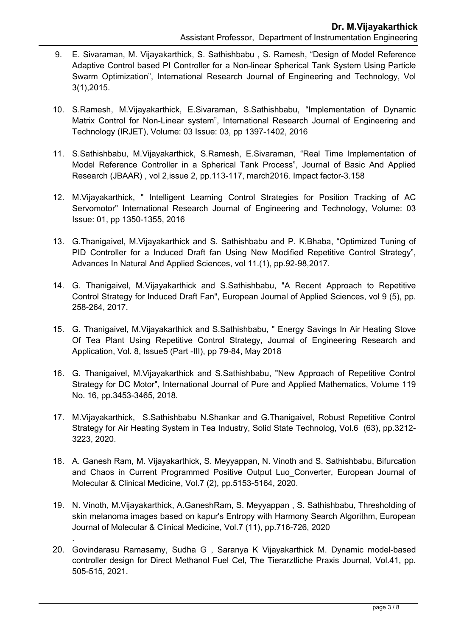- 9. E. Sivaraman, M. Vijayakarthick, S. Sathishbabu , S. Ramesh, "Design of Model Reference Adaptive Control based PI Controller for a Non-linear Spherical Tank System Using Particle Swarm Optimization", International Research Journal of Engineering and Technology, Vol 3(1),2015.
- 10. S.Ramesh, M.Vijayakarthick, E.Sivaraman, S.Sathishbabu, "Implementation of Dynamic Matrix Control for Non-Linear system", International Research Journal of Engineering and Technology (IRJET), Volume: 03 Issue: 03, pp 1397-1402, 2016
- 11. S.Sathishbabu, M.Vijayakarthick, S.Ramesh, E.Sivaraman, "Real Time Implementation of Model Reference Controller in a Spherical Tank Process", Journal of Basic And Applied Research (JBAAR) , vol 2,issue 2, pp.113-117, march2016. Impact factor-3.158
- 12. M.Vijayakarthick, " Intelligent Learning Control Strategies for Position Tracking of AC Servomotor" International Research Journal of Engineering and Technology, Volume: 03 Issue: 01, pp 1350-1355, 2016
- 13. G.Thanigaivel, M.Vijayakarthick and S. Sathishbabu and P. K.Bhaba, "Optimized Tuning of PID Controller for a Induced Draft fan Using New Modified Repetitive Control Strategy", Advances In Natural And Applied Sciences, vol 11.(1), pp.92-98,2017.
- 14. G. Thanigaivel, M.Vijayakarthick and S.Sathishbabu, "A Recent Approach to Repetitive Control Strategy for Induced Draft Fan", European Journal of Applied Sciences, vol 9 (5), pp. 258-264, 2017.
- 15. G. Thanigaivel, M.Vijayakarthick and S.Sathishbabu, " Energy Savings In Air Heating Stove Of Tea Plant Using Repetitive Control Strategy, Journal of Engineering Research and Application, Vol. 8, Issue5 (Part -III), pp 79-84, May 2018
- 16. G. Thanigaivel, M.Vijayakarthick and S.Sathishbabu, "New Approach of Repetitive Control Strategy for DC Motor", International Journal of Pure and Applied Mathematics, Volume 119 No. 16, pp.3453-3465, 2018.
- 17. M.Vijayakarthick, S.Sathishbabu N.Shankar and G.Thanigaivel, Robust Repetitive Control Strategy for Air Heating System in Tea Industry, Solid State Technolog, Vol.6 (63), pp.3212- 3223, 2020.
- 18. A. Ganesh Ram, M. Vijayakarthick, S. Meyyappan, N. Vinoth and S. Sathishbabu, Bifurcation and Chaos in Current Programmed Positive Output Luo\_Converter, European Journal of Molecular & Clinical Medicine, Vol.7 (2), pp.5153-5164, 2020.
- 19. N. Vinoth, M.Vijayakarthick, A.GaneshRam, S. Meyyappan , S. Sathishbabu, Thresholding of skin melanoma images based on kapur's Entropy with Harmony Search Algorithm, European Journal of Molecular & Clinical Medicine, Vol.7 (11), pp.716-726, 2020
- 20. Govindarasu Ramasamy, Sudha G , Saranya K Vijayakarthick M. Dynamic model-based controller design for Direct Methanol Fuel Cel, The Tierarztliche Praxis Journal, Vol.41, pp. 505-515, 2021.

.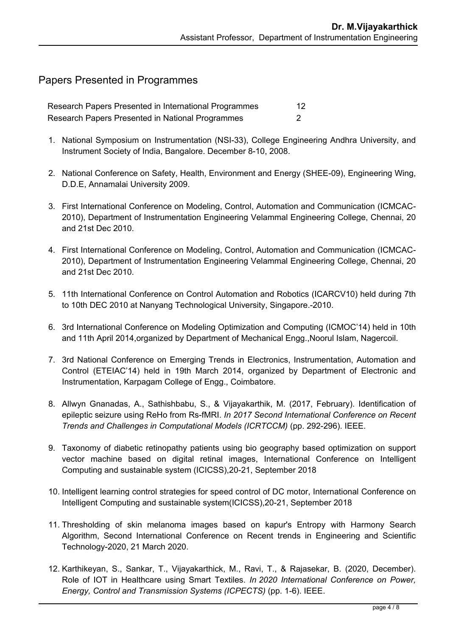#### Papers Presented in Programmes

Research Papers Presented in International Programmes 12 Research Papers Presented in National Programmes 2

- 1. National Symposium on Instrumentation (NSI-33), College Engineering Andhra University, and Instrument Society of India, Bangalore. December 8-10, 2008.
- 2. National Conference on Safety, Health, Environment and Energy (SHEE-09), Engineering Wing, D.D.E, Annamalai University 2009.
- 3. First International Conference on Modeling, Control, Automation and Communication (ICMCAC-2010), Department of Instrumentation Engineering Velammal Engineering College, Chennai, 20 and 21st Dec 2010.
- 4. First International Conference on Modeling, Control, Automation and Communication (ICMCAC-2010), Department of Instrumentation Engineering Velammal Engineering College, Chennai, 20 and 21st Dec 2010.
- 5. 11th International Conference on Control Automation and Robotics (ICARCV10) held during 7th to 10th DEC 2010 at Nanyang Technological University, Singapore.-2010.
- 6. 3rd International Conference on Modeling Optimization and Computing (ICMOC'14) held in 10th and 11th April 2014,organized by Department of Mechanical Engg.,Noorul Islam, Nagercoil.
- 7. 3rd National Conference on Emerging Trends in Electronics, Instrumentation, Automation and Control (ETEIAC'14) held in 19th March 2014, organized by Department of Electronic and Instrumentation, Karpagam College of Engg., Coimbatore.
- 8. Allwyn Gnanadas, A., Sathishbabu, S., & Vijayakarthik, M. (2017, February). Identification of epileptic seizure using ReHo from Rs-fMRI. *In 2017 Second International Conference on Recent Trends and Challenges in Computational Models (ICRTCCM)* (pp. 292-296). IEEE.
- 9. Taxonomy of diabetic retinopathy patients using bio geography based optimization on support vector machine based on digital retinal images, International Conference on Intelligent Computing and sustainable system (ICICSS),20-21, September 2018
- 10. Intelligent learning control strategies for speed control of DC motor, International Conference on Intelligent Computing and sustainable system(ICICSS),20-21, September 2018
- 11. Thresholding of skin melanoma images based on kapur's Entropy with Harmony Search Algorithm, Second International Conference on Recent trends in Engineering and Scientific Technology-2020, 21 March 2020.
- 12. Karthikeyan, S., Sankar, T., Vijayakarthick, M., Ravi, T., & Rajasekar, B. (2020, December). Role of IOT in Healthcare using Smart Textiles. *In 2020 International Conference on Power, Energy, Control and Transmission Systems (ICPECTS)* (pp. 1-6). IEEE.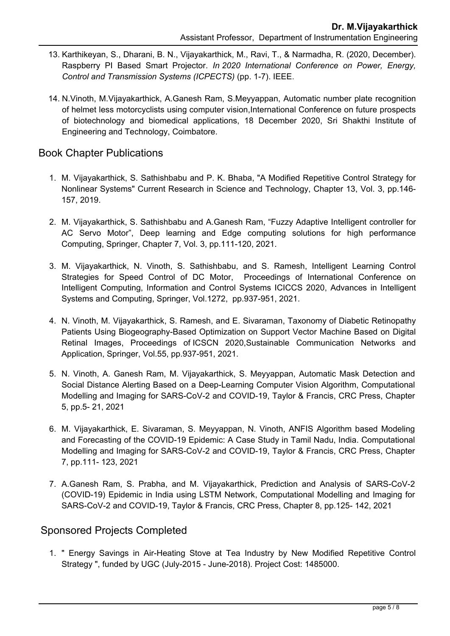- 13. Karthikeyan, S., Dharani, B. N., Vijayakarthick, M., Ravi, T., & Narmadha, R. (2020, December). Raspberry PI Based Smart Projector. *In 2020 International Conference on Power, Energy, Control and Transmission Systems (ICPECTS)* (pp. 1-7). IEEE.
- 14. N.Vinoth, M.Vijayakarthick, A.Ganesh Ram, S.Meyyappan, Automatic number plate recognition of helmet less motorcyclists using computer vision,International Conference on future prospects of biotechnology and biomedical applications, 18 December 2020, Sri Shakthi Institute of Engineering and Technology, Coimbatore.

## Book Chapter Publications

- 1. M. Vijayakarthick, S. Sathishbabu and P. K. Bhaba, "A Modified Repetitive Control Strategy for Nonlinear Systems" Current Research in Science and Technology, Chapter 13, Vol. 3, pp.146- 157, 2019.
- 2. M. Vijayakarthick, S. Sathishbabu and A.Ganesh Ram, "Fuzzy Adaptive Intelligent controller for AC Servo Motor", Deep learning and Edge computing solutions for high performance Computing, Springer, Chapter 7, Vol. 3, pp.111-120, 2021.
- 3. M. Vijayakarthick, N. Vinoth, S. Sathishbabu, and S. Ramesh, Intelligent Learning Control Strategies for Speed Control of DC Motor, Proceedings of International Conference on Intelligent Computing, Information and Control Systems ICICCS 2020, Advances in Intelligent Systems and Computing, Springer, Vol.1272, pp.937-951, 2021.
- 4. N. Vinoth, M. Vijayakarthick, S. Ramesh, and E. Sivaraman, Taxonomy of Diabetic Retinopathy Patients Using Biogeography-Based Optimization on Support Vector Machine Based on Digital Retinal Images, Proceedings of ICSCN 2020,Sustainable Communication Networks and Application, Springer, Vol.55, pp.937-951, 2021.
- 5. N. Vinoth, A. Ganesh Ram, M. Vijayakarthick, S. Meyyappan, [Automatic Mask Detection and](https://www.taylorfrancis.com/chapters/edit/10.1201/9781003142584-5-5/automatic-mask-detection-social-distance-alerting-based-deep-learning-computer-vision-algorithm-vinoth-ganesh-ram-vijayakarthick-meyyappan?context=ubx&refId=82656512-3b9c-46d6-b9ce-2de37c14c3e7)  [Social Distance Alerting Based on a Deep-Learning Computer Vision Algorithm,](https://www.taylorfrancis.com/chapters/edit/10.1201/9781003142584-5-5/automatic-mask-detection-social-distance-alerting-based-deep-learning-computer-vision-algorithm-vinoth-ganesh-ram-vijayakarthick-meyyappan?context=ubx&refId=82656512-3b9c-46d6-b9ce-2de37c14c3e7) Computational Modelling and Imaging for SARS-CoV-2 and COVID-19, Taylor & Francis, CRC Press, Chapter 5, pp.5- 21, 2021
- 6. M. Vijayakarthick, E. Sivaraman, S. Meyyappan, N. Vinoth, ANFIS Algorithm based Modeling and Forecasting of the COVID-19 Epidemic: A Case Study in Tamil Nadu, India. Computational Modelling and Imaging for SARS-CoV-2 and COVID-19, Taylor & Francis, CRC Press, Chapter 7, pp.111- 123, 2021
- 7. A.Ganesh Ram, S. Prabha, and M. Vijayakarthick, Prediction and Analysis of SARS-CoV-2 (COVID-19) Epidemic in India using LSTM Network, Computational Modelling and Imaging for SARS-CoV-2 and COVID-19, Taylor & Francis, CRC Press, Chapter 8, pp.125- 142, 2021

## Sponsored Projects Completed

1. " Energy Savings in Air-Heating Stove at Tea Industry by New Modified Repetitive Control Strategy ", funded by UGC (July-2015 - June-2018). Project Cost: 1485000.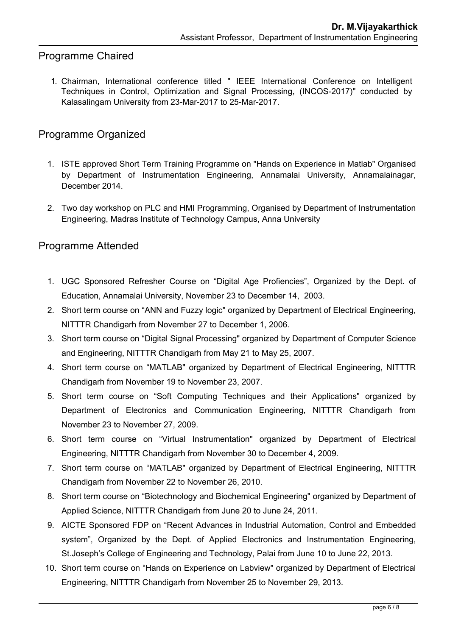# Programme Chaired

1. Chairman, International conference titled " IEEE International Conference on Intelligent Techniques in Control, Optimization and Signal Processing, (INCOS-2017)" conducted by Kalasalingam University from 23-Mar-2017 to 25-Mar-2017.

# Programme Organized

- 1. ISTE approved Short Term Training Programme on "Hands on Experience in Matlab" Organised by Department of Instrumentation Engineering, Annamalai University, Annamalainagar, December 2014.
- 2. Two day workshop on PLC and HMI Programming, Organised by Department of Instrumentation Engineering, Madras Institute of Technology Campus, Anna University

## Programme Attended

- 1. UGC Sponsored Refresher Course on "Digital Age Profiencies", Organized by the Dept. of Education, Annamalai University, November 23 to December 14, 2003.
- 2. Short term course on "ANN and Fuzzy logic" organized by Department of Electrical Engineering, NITTTR Chandigarh from November 27 to December 1, 2006.
- 3. Short term course on "Digital Signal Processing" organized by Department of Computer Science and Engineering, NITTTR Chandigarh from May 21 to May 25, 2007.
- 4. Short term course on "MATLAB" organized by Department of Electrical Engineering, NITTTR Chandigarh from November 19 to November 23, 2007.
- 5. Short term course on "Soft Computing Techniques and their Applications" organized by Department of Electronics and Communication Engineering, NITTTR Chandigarh from November 23 to November 27, 2009.
- 6. Short term course on "Virtual Instrumentation" organized by Department of Electrical Engineering, NITTTR Chandigarh from November 30 to December 4, 2009.
- 7. Short term course on "MATLAB" organized by Department of Electrical Engineering, NITTTR Chandigarh from November 22 to November 26, 2010.
- 8. Short term course on "Biotechnology and Biochemical Engineering" organized by Department of Applied Science, NITTTR Chandigarh from June 20 to June 24, 2011.
- 9. AICTE Sponsored FDP on "Recent Advances in Industrial Automation, Control and Embedded system", Organized by the Dept. of Applied Electronics and Instrumentation Engineering, St.Joseph's College of Engineering and Technology, Palai from June 10 to June 22, 2013.
- 10. Short term course on "Hands on Experience on Labview" organized by Department of Electrical Engineering, NITTTR Chandigarh from November 25 to November 29, 2013.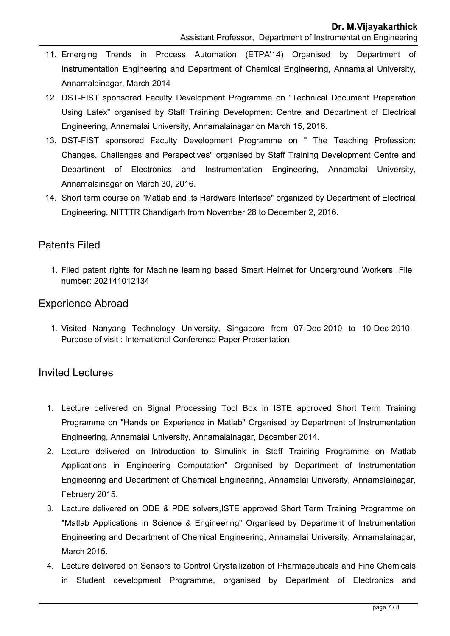- 11. Emerging Trends in Process Automation (ETPA'14) Organised by Department of Instrumentation Engineering and Department of Chemical Engineering, Annamalai University, Annamalainagar, March 2014
- 12. DST-FIST sponsored Faculty Development Programme on "Technical Document Preparation Using Latex" organised by Staff Training Development Centre and Department of Electrical Engineering, Annamalai University, Annamalainagar on March 15, 2016.
- 13. DST-FIST sponsored Faculty Development Programme on " The Teaching Profession: Changes, Challenges and Perspectives" organised by Staff Training Development Centre and Department of Electronics and Instrumentation Engineering, Annamalai University, Annamalainagar on March 30, 2016.
- 14. Short term course on "Matlab and its Hardware Interface" organized by Department of Electrical Engineering, NITTTR Chandigarh from November 28 to December 2, 2016.

## Patents Filed

1. Filed patent rights for Machine learning based Smart Helmet for Underground Workers. File number: 202141012134

## Experience Abroad

1. Visited Nanyang Technology University, Singapore from 07-Dec-2010 to 10-Dec-2010. Purpose of visit : International Conference Paper Presentation

#### Invited Lectures

- 1. Lecture delivered on Signal Processing Tool Box in ISTE approved Short Term Training Programme on "Hands on Experience in Matlab" Organised by Department of Instrumentation Engineering, Annamalai University, Annamalainagar, December 2014.
- 2. Lecture delivered on Introduction to Simulink in Staff Training Programme on Matlab Applications in Engineering Computation" Organised by Department of Instrumentation Engineering and Department of Chemical Engineering, Annamalai University, Annamalainagar, February 2015.
- 3. Lecture delivered on ODE & PDE solvers,ISTE approved Short Term Training Programme on "Matlab Applications in Science & Engineering" Organised by Department of Instrumentation Engineering and Department of Chemical Engineering, Annamalai University, Annamalainagar, March 2015.
- 4. Lecture delivered on Sensors to Control Crystallization of Pharmaceuticals and Fine Chemicals in Student development Programme, organised by Department of Electronics and